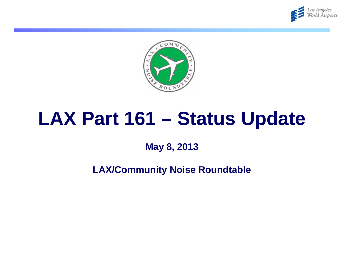



## **LAX Part 161 – Status Update**

**May 8, 2013**

**LAX/Community Noise Roundtable**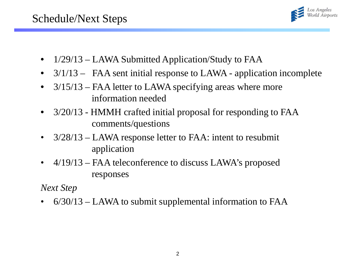

- 1/29/13 LAWA Submitted Application/Study to FAA
- 3/1/13 FAA sent initial response to LAWA application incomplete
- 3/15/13 FAA letter to LAWA specifying areas where more information needed
- 3/20/13 HMMH crafted initial proposal for responding to FAA comments/questions
- 3/28/13 LAWA response letter to FAA: intent to resubmit application
- 4/19/13 FAA teleconference to discuss LAWA's proposed responses

*Next Step*

• 6/30/13 – LAWA to submit supplemental information to FAA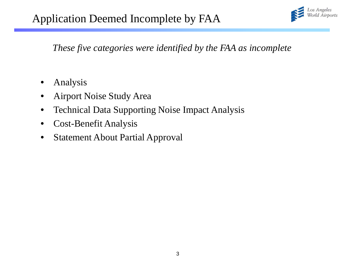

*These five categories were identified by the FAA as incomplete*

- Analysis
- Airport Noise Study Area
- Technical Data Supporting Noise Impact Analysis
- Cost-Benefit Analysis
- Statement About Partial Approval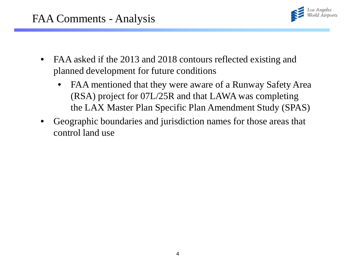

- FAA asked if the 2013 and 2018 contours reflected existing and planned development for future conditions
	- FAA mentioned that they were aware of a Runway Safety Area (RSA) project for 07L/25R and that LAWA was completing the LAX Master Plan Specific Plan Amendment Study (SPAS)
- Geographic boundaries and jurisdiction names for those areas that control land use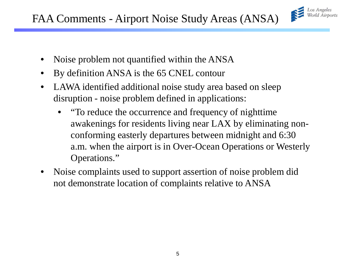

- Noise problem not quantified within the ANSA
- By definition ANSA is the 65 CNEL contour
- LAWA identified additional noise study area based on sleep disruption - noise problem defined in applications:
	- "To reduce the occurrence and frequency of nighttime awakenings for residents living near LAX by eliminating nonconforming easterly departures between midnight and 6:30 a.m. when the airport is in Over-Ocean Operations or Westerly Operations."
- Noise complaints used to support assertion of noise problem did not demonstrate location of complaints relative to ANSA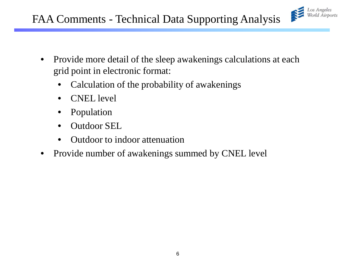

- Provide more detail of the sleep awakenings calculations at each grid point in electronic format:
	- Calculation of the probability of awakenings
	- CNEL level
	- Population
	- Outdoor SEL
	- Outdoor to indoor attenuation
- Provide number of awakenings summed by CNEL level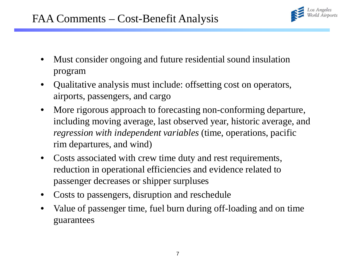

- Must consider ongoing and future residential sound insulation program
- Qualitative analysis must include: offsetting cost on operators, airports, passengers, and cargo
- More rigorous approach to forecasting non-conforming departure, including moving average, last observed year, historic average, and *regression with independent variables* (time, operations, pacific rim departures, and wind)
- Costs associated with crew time duty and rest requirements, reduction in operational efficiencies and evidence related to passenger decreases or shipper surpluses
- Costs to passengers, disruption and reschedule
- Value of passenger time, fuel burn during off-loading and on time guarantees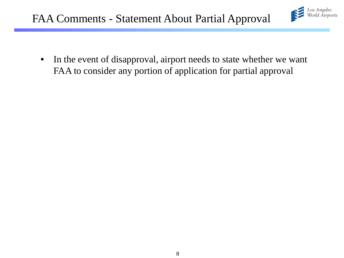

• In the event of disapproval, airport needs to state whether we want FAA to consider any portion of application for partial approval